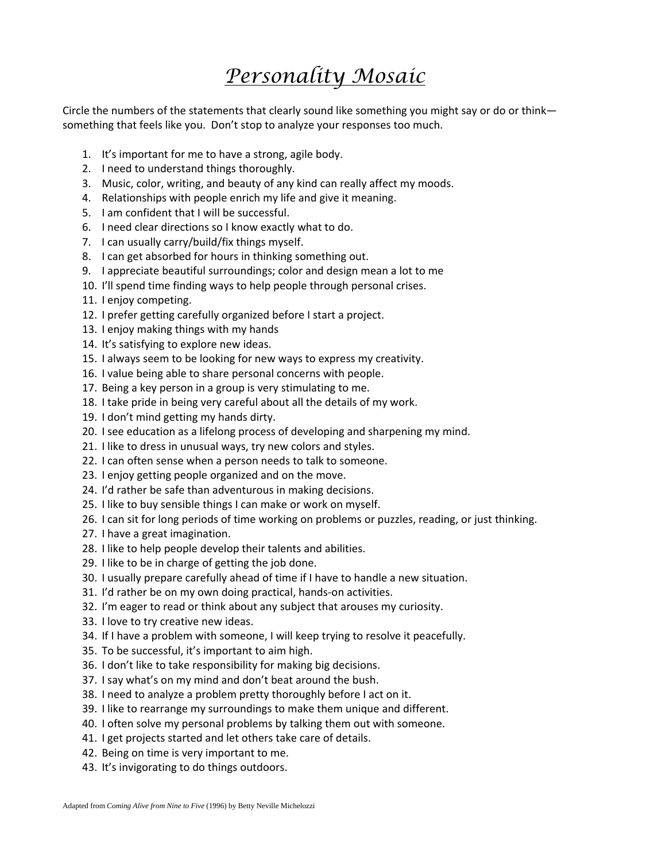# *Personality Mosaic*

Circle the numbers of the statements that clearly sound like something you might say or do or think something that feels like you. Don't stop to analyze your responses too much.

- 1. It's important for me to have a strong, agile body.
- 2. I need to understand things thoroughly.
- 3. Music, color, writing, and beauty of any kind can really affect my moods.
- 4. Relationships with people enrich my life and give it meaning.
- 5. I am confident that I will be successful.
- 6. I need clear directions so I know exactly what to do.
- 7. I can usually carry/build/fix things myself.
- 8. I can get absorbed for hours in thinking something out.
- 9. I appreciate beautiful surroundings; color and design mean a lot to me
- 10. I'll spend time finding ways to help people through personal crises.
- 11. I enjoy competing.
- 12. I prefer getting carefully organized before I start a project.
- 13. I enjoy making things with my hands
- 14. It's satisfying to explore new ideas.
- 15. I always seem to be looking for new ways to express my creativity.
- 16. I value being able to share personal concerns with people.
- 17. Being a key person in a group is very stimulating to me.
- 18. I take pride in being very careful about all the details of my work.
- 19. I don't mind getting my hands dirty.
- 20. I see education as a lifelong process of developing and sharpening my mind.
- 21. I like to dress in unusual ways, try new colors and styles.
- 22. I can often sense when a person needs to talk to someone.
- 23. I enjoy getting people organized and on the move.
- 24. I'd rather be safe than adventurous in making decisions.
- 25. I like to buy sensible things I can make or work on myself.
- 26. I can sit for long periods of time working on problems or puzzles, reading, or just thinking.
- 27. I have a great imagination.
- 28. I like to help people develop their talents and abilities.
- 29. I like to be in charge of getting the job done.
- 30. I usually prepare carefully ahead of time if I have to handle a new situation.
- 31. I'd rather be on my own doing practical, hands‐on activities.
- 32. I'm eager to read or think about any subject that arouses my curiosity.
- 33. I love to try creative new ideas.
- 34. If I have a problem with someone, I will keep trying to resolve it peacefully.
- 35. To be successful, it's important to aim high.
- 36. I don't like to take responsibility for making big decisions.
- 37. I say what's on my mind and don't beat around the bush.
- 38. I need to analyze a problem pretty thoroughly before I act on it.
- 39. I like to rearrange my surroundings to make them unique and different.
- 40. I often solve my personal problems by talking them out with someone.
- 41. I get projects started and let others take care of details.
- 42. Being on time is very important to me.
- 43. It's invigorating to do things outdoors.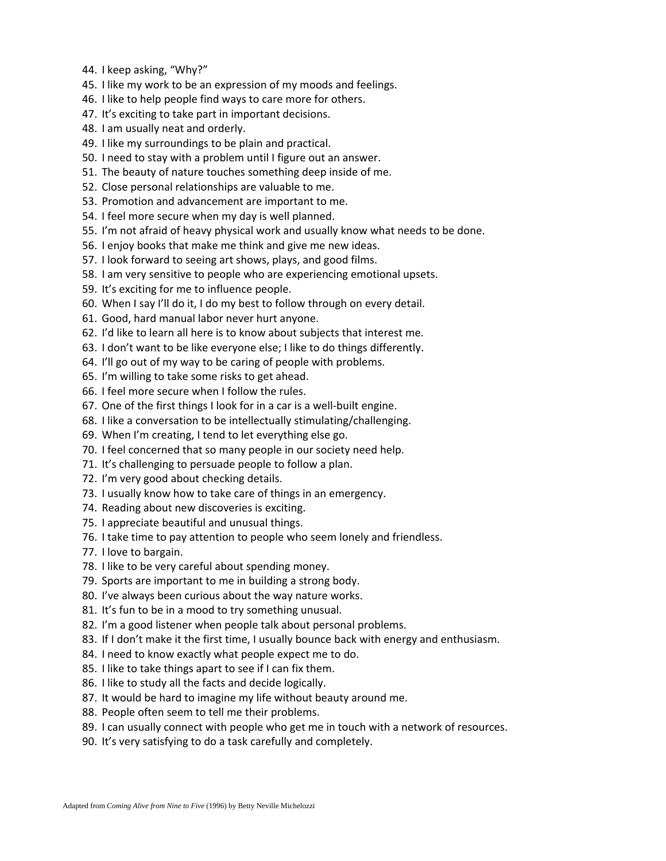- 44. I keep asking, "Why?"
- 45. I like my work to be an expression of my moods and feelings.
- 46. I like to help people find ways to care more for others.
- 47. It's exciting to take part in important decisions.
- 48. I am usually neat and orderly.
- 49. I like my surroundings to be plain and practical.
- 50. I need to stay with a problem until I figure out an answer.
- 51. The beauty of nature touches something deep inside of me.
- 52. Close personal relationships are valuable to me.
- 53. Promotion and advancement are important to me.
- 54. I feel more secure when my day is well planned.
- 55. I'm not afraid of heavy physical work and usually know what needs to be done.
- 56. I enjoy books that make me think and give me new ideas.
- 57. I look forward to seeing art shows, plays, and good films.
- 58. I am very sensitive to people who are experiencing emotional upsets.
- 59. It's exciting for me to influence people.
- 60. When I say I'll do it, I do my best to follow through on every detail.
- 61. Good, hard manual labor never hurt anyone.
- 62. I'd like to learn all here is to know about subjects that interest me.
- 63. I don't want to be like everyone else; I like to do things differently.
- 64. I'll go out of my way to be caring of people with problems.
- 65. I'm willing to take some risks to get ahead.
- 66. I feel more secure when I follow the rules.
- 67. One of the first things I look for in a car is a well‐built engine.
- 68. I like a conversation to be intellectually stimulating/challenging.
- 69. When I'm creating, I tend to let everything else go.
- 70. I feel concerned that so many people in our society need help.
- 71. It's challenging to persuade people to follow a plan.
- 72. I'm very good about checking details.
- 73. I usually know how to take care of things in an emergency.
- 74. Reading about new discoveries is exciting.
- 75. I appreciate beautiful and unusual things.
- 76. I take time to pay attention to people who seem lonely and friendless.
- 77. I love to bargain.
- 78. I like to be very careful about spending money.
- 79. Sports are important to me in building a strong body.
- 80. I've always been curious about the way nature works.
- 81. It's fun to be in a mood to try something unusual.
- 82. I'm a good listener when people talk about personal problems.
- 83. If I don't make it the first time, I usually bounce back with energy and enthusiasm.
- 84. I need to know exactly what people expect me to do.
- 85. I like to take things apart to see if I can fix them.
- 86. I like to study all the facts and decide logically.
- 87. It would be hard to imagine my life without beauty around me.
- 88. People often seem to tell me their problems.
- 89. I can usually connect with people who get me in touch with a network of resources.
- 90. It's very satisfying to do a task carefully and completely.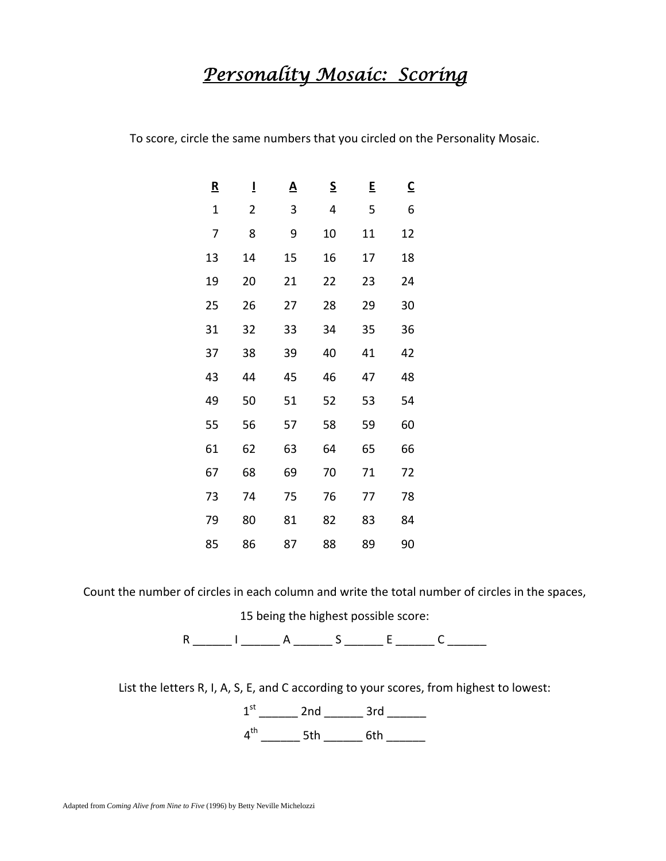## *Personality Mosaic: Scoring*

To score, circle the same numbers that you circled on the Personality Mosaic.

| $\underline{\mathbf{R}}$ | Ī  | <u>A</u> | $\underline{\mathsf{S}}$ | E  | $\overline{\mathsf{c}}$ |
|--------------------------|----|----------|--------------------------|----|-------------------------|
| $\mathbf 1$              | 2  | 3        | 4                        | 5  | 6                       |
| 7                        | 8  | 9        | 10                       | 11 | 12                      |
| 13                       | 14 | 15       | 16                       | 17 | 18                      |
| 19                       | 20 | 21       | 22                       | 23 | 24                      |
| 25                       | 26 | 27       | 28                       | 29 | 30                      |
| 31                       | 32 | 33       | 34                       | 35 | 36                      |
| 37                       | 38 | 39       | 40                       | 41 | 42                      |
| 43                       | 44 | 45       | 46                       | 47 | 48                      |
| 49                       | 50 | 51       | 52                       | 53 | 54                      |
| 55                       | 56 | 57       | 58                       | 59 | 60                      |
| 61                       | 62 | 63       | 64                       | 65 | 66                      |
| 67                       | 68 | 69       | 70                       | 71 | 72                      |
| 73                       | 74 | 75       | 76                       | 77 | 78                      |
| 79                       | 80 | 81       | 82                       | 83 | 84                      |
| 85                       | 86 | 87       | 88                       | 89 | 90                      |

Count the number of circles in each column and write the total number of circles in the spaces,

being the highest possible score:

 $R$  \_\_\_\_\_\_\_\_ I \_\_\_\_\_\_\_\_ A \_\_\_\_\_\_\_ S \_\_\_\_\_\_\_ E \_\_\_\_\_\_\_ C \_\_\_\_\_\_\_

List the letters R, I, A, S, E, and C according to your scores, from highest to lowest:

 $1^{st}$  \_\_\_\_\_\_\_ 2nd \_\_\_\_\_\_\_ 3rd \_\_\_\_\_\_  $4^{th}$  \_\_\_\_\_\_\_\_\_ 5th \_\_\_\_\_\_\_\_\_ 6th \_\_\_\_\_\_\_\_